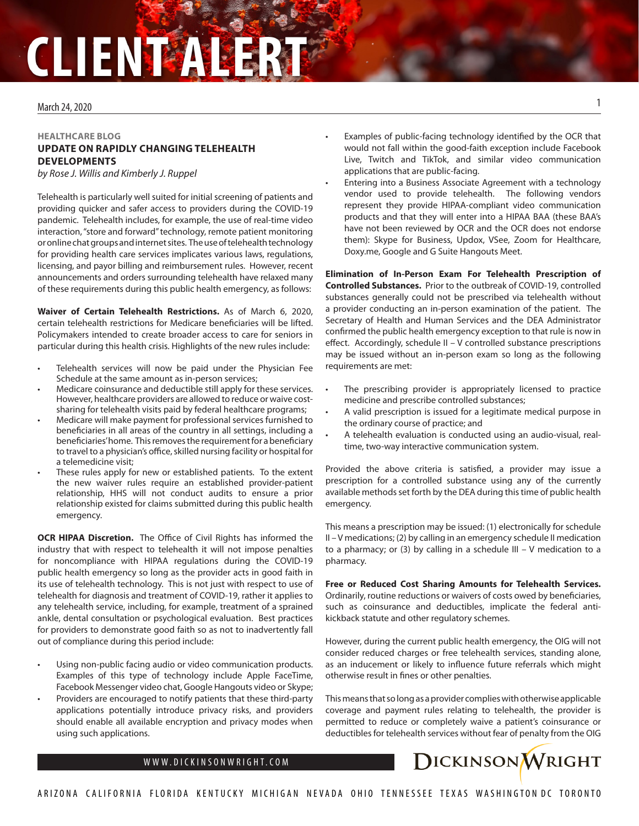## March 24, 2020

## **HEALTHCARE BLOG UPDATE ON RAPIDLY CHANGING TELEHEALTH DEVELOPMENTS**

*by Rose J. Willis and Kimberly J. Ruppel*

Telehealth is particularly well suited for initial screening of patients and providing quicker and safer access to providers during the COVID-19 pandemic. Telehealth includes, for example, the use of real-time video interaction, "store and forward" technology, remote patient monitoring or online chat groups and internet sites. The use of telehealth technology for providing health care services implicates various laws, regulations, licensing, and payor billing and reimbursement rules. However, recent announcements and orders surrounding telehealth have relaxed many of these requirements during this public health emergency, as follows:

**Waiver of Certain Telehealth Restrictions.** As of March 6, 2020, certain telehealth restrictions for Medicare beneficiaries will be lifted. Policymakers intended to create broader access to care for seniors in particular during this health crisis. Highlights of the new rules include:

- Telehealth services will now be paid under the Physician Fee Schedule at the same amount as in-person services;
- Medicare coinsurance and deductible still apply for these services. However, healthcare providers are allowed to reduce or waive costsharing for telehealth visits paid by federal healthcare programs;
- Medicare will make payment for professional services furnished to beneficiaries in all areas of the country in all settings, including a beneficiaries' home. This removes the requirement for a beneficiary to travel to a physician's office, skilled nursing facility or hospital for a telemedicine visit;
- These rules apply for new or established patients. To the extent the new waiver rules require an established provider-patient relationship, HHS will not conduct audits to ensure a prior relationship existed for claims submitted during this public health emergency.

**OCR HIPAA Discretion.** The Office of Civil Rights has informed the industry that with respect to telehealth it will not impose penalties for noncompliance with HIPAA regulations during the COVID-19 public health emergency so long as the provider acts in good faith in its use of telehealth technology. This is not just with respect to use of telehealth for diagnosis and treatment of COVID-19, rather it applies to any telehealth service, including, for example, treatment of a sprained ankle, dental consultation or psychological evaluation. Best practices for providers to demonstrate good faith so as not to inadvertently fall out of compliance during this period include:

- Using non-public facing audio or video communication products. Examples of this type of technology include Apple FaceTime, Facebook Messenger video chat, Google Hangouts video or Skype;
- Providers are encouraged to notify patients that these third-party applications potentially introduce privacy risks, and providers should enable all available encryption and privacy modes when using such applications.
- Examples of public-facing technology identified by the OCR that would not fall within the good-faith exception include Facebook Live, Twitch and TikTok, and similar video communication applications that are public-facing.
- Entering into a Business Associate Agreement with a technology vendor used to provide telehealth. The following vendors represent they provide HIPAA-compliant video communication products and that they will enter into a HIPAA BAA (these BAA's have not been reviewed by OCR and the OCR does not endorse them): Skype for Business, Updox, VSee, Zoom for Healthcare, Doxy.me, Google and G Suite Hangouts Meet.

**Elimination of In-Person Exam For Telehealth Prescription of Controlled Substances.** Prior to the outbreak of COVID-19, controlled substances generally could not be prescribed via telehealth without a provider conducting an in-person examination of the patient. The Secretary of Health and Human Services and the DEA Administrator confirmed the public health emergency exception to that rule is now in effect. Accordingly, schedule II – V controlled substance prescriptions may be issued without an in-person exam so long as the following requirements are met:

- The prescribing provider is appropriately licensed to practice medicine and prescribe controlled substances;
- A valid prescription is issued for a legitimate medical purpose in the ordinary course of practice; and
- A telehealth evaluation is conducted using an audio-visual, realtime, two-way interactive communication system.

Provided the above criteria is satisfied, a provider may issue a prescription for a controlled substance using any of the currently available methods set forth by the DEA during this time of public health emergency.

This means a prescription may be issued: (1) electronically for schedule II – V medications; (2) by calling in an emergency schedule II medication to a pharmacy; or (3) by calling in a schedule III – V medication to a pharmacy.

**Free or Reduced Cost Sharing Amounts for Telehealth Services.**  Ordinarily, routine reductions or waivers of costs owed by beneficiaries, such as coinsurance and deductibles, implicate the federal antikickback statute and other regulatory schemes.

However, during the current public health emergency, the OIG will not consider reduced charges or free telehealth services, standing alone, as an inducement or likely to influence future referrals which might otherwise result in fines or other penalties.

This means that so long as a provider complies with otherwise applicable coverage and payment rules relating to telehealth, the provider is permitted to reduce or completely waive a patient's coinsurance or deductibles for telehealth services without fear of penalty from the OIG